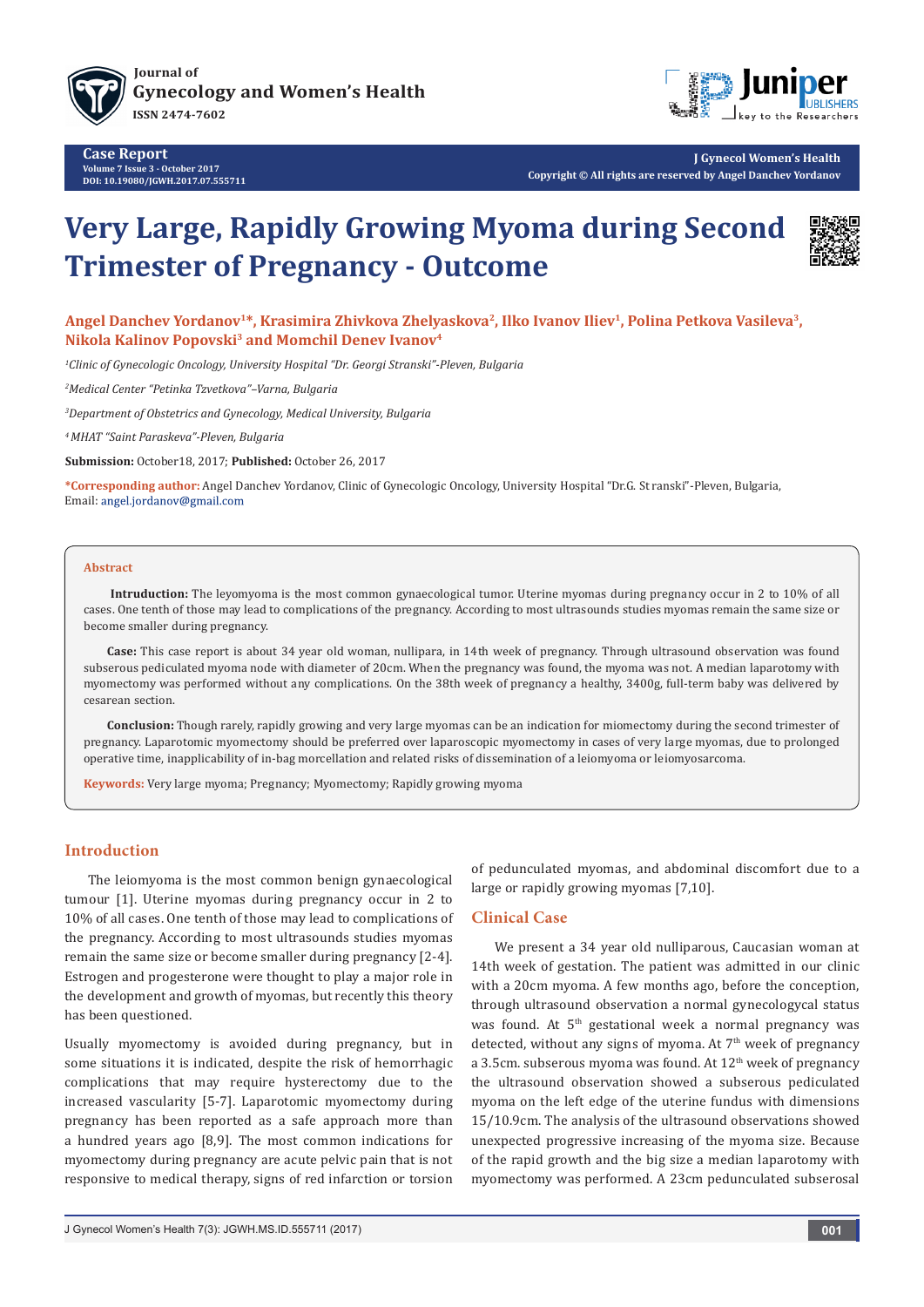

**[Journal of](http://juniperpublishers.com/jgwh/) [Gynecology and Women's Health](http://www.juniperpublishers.com/jgwh) ISSN 2474-7602**



**J Gynecol Women's Health Copyright © All rights are reserved by Angel Danchev Yordanov**

# **Very Large, Rapidly Growing Myoma during Second Trimester of Pregnancy - Outcome**



Angel Danchev Yordanov<sup>1\*</sup>, Krasimira Zhivkova Zhelyaskova<sup>2</sup>, Ilko Ivanov Iliev<sup>1</sup>, Polina Petkova Vasileva<sup>3</sup>, **Nikola Kalinov Popovski3 and Momchil Denev Ivanov4**

*1 Clinic of Gynecologic Oncology, University Hospital "Dr. Georgi Stranski"-Pleven, Bulgaria*

*2 Medical Center "Petinka Tzvetkova"–Varna, Bulgaria*

*3 Department of Obstetrics and Gynecology, Medical University, Bulgaria*

*4 MHAT "Saint Paraskeva"-Pleven, Bulgaria*

**Submission:** October18, 2017; **Published:** October 26, 2017

**\*Corresponding author:** Angel Danchev Yordanov, Clinic of Gynecologic Oncology, University Hospital "Dr.G. St ranski"-Pleven, Bulgaria, Email: angel.jordanov@gmail.com

## **Abstract**

**Intruduction:** The leyomyoma is the most common gynaecological tumor. Uterine myomas during pregnancy occur in 2 to 10% of all cases. One tenth of those may lead to complications of the pregnancy. According to most ultrasounds studies myomas remain the same size or become smaller during pregnancy.

**Case:** This case report is about 34 year old woman, nullipara, in 14th week of pregnancy. Through ultrasound observation was found subserous pediculated myoma node with diameter of 20cm. When the pregnancy was found, the myoma was not. A median laparotomy with myomectomy was performed without any complications. On the 38th week of pregnancy a healthy, 3400g, full-term baby was delivered by cesarean section.

**Conclusion:** Though rarely, rapidly growing and very large myomas can be an indication for miomectomy during the second trimester of pregnancy. Laparotomic myomectomy should be preferred over laparoscopic myomectomy in cases of very large myomas, due to prolonged operative time, inapplicability of in-bag morcellation and related risks of dissemination of a leiomyoma or leiomyosarcoma.

**Keywords:** Very large myoma; Pregnancy; Myomectomy; Rapidly growing myoma

# **Introduction**

The leiomyoma is the most common benign gynaecological tumour [1]. Uterine myomas during pregnancy occur in 2 to 10% of all cases. One tenth of those may lead to complications of the pregnancy. According to most ultrasounds studies myomas remain the same size or become smaller during pregnancy [2-4]. Estrogen and progesterone were thought to play a major role in the development and growth of myomas, but recently this theory has been questioned.

Usually myomectomy is avoided during pregnancy, but in some situations it is indicated, despite the risk of hemorrhagic complications that may require hysterectomy due to the increased vascularity [5-7]. Laparotomic myomectomy during pregnancy has been reported as a safe approach more than a hundred years ago [8,9]. The most common indications for myomectomy during pregnancy are acute pelvic pain that is not responsive to medical therapy, signs of red infarction or torsion

of pedunculated myomas, and abdominal discomfort due to a large or rapidly growing myomas [7,10].

## **Clinical Case**

We present a 34 year old nulliparous, Caucasian woman at 14th week of gestation. The patient was admitted in our clinic with a 20cm myoma. A few months ago, before the conception, through ultrasound observation a normal gynecologycal status was found. At 5<sup>th</sup> gestational week a normal pregnancy was detected, without any signs of myoma. At  $7<sup>th</sup>$  week of pregnancy a 3.5cm, subserous myoma was found. At 12<sup>th</sup> week of pregnancy the ultrasound observation showed a subserous pediculated myoma on the left edge of the uterine fundus with dimensions 15/10.9cm. The analysis of the ultrasound observations showed unexpected progressive increasing of the myoma size. Because of the rapid growth and the big size a median laparotomy with myomectomy was performed. A 23cm pedunculated subserosal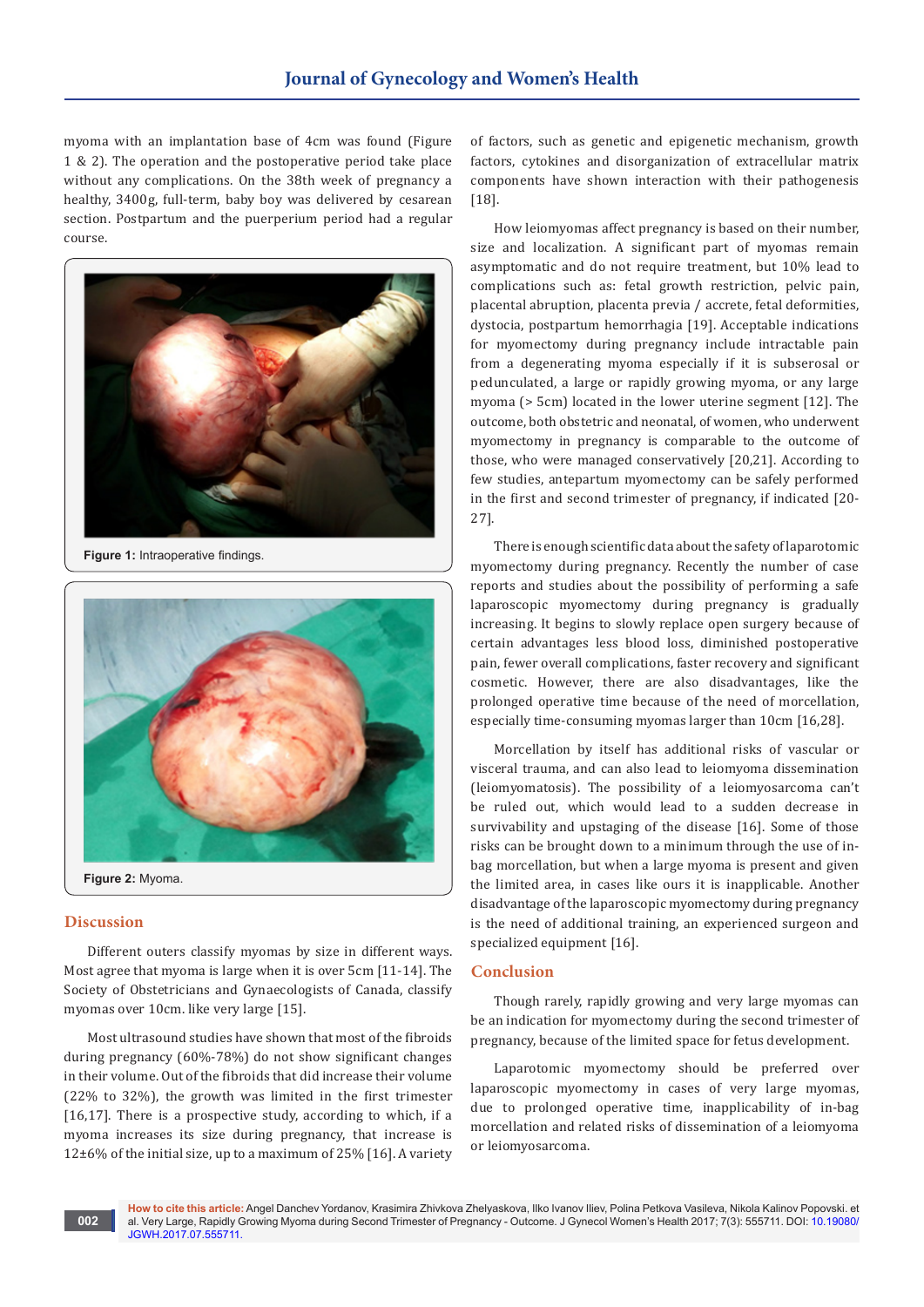myoma with an implantation base of 4cm was found (Figure 1 & 2). The operation and the postoperative period take place without any complications. On the 38th week of pregnancy a healthy, 3400g, full-term, baby boy was delivered by cesarean section. Postpartum and the puerperium period had a regular course.



**Figure 1:** Intraoperative findings.



#### **Discussion**

Different outers classify myomas by size in different ways. Most agree that myoma is large when it is over 5cm [11-14]. The Society of Obstetricians and Gynaecologists of Canada, classify myomas over 10cm. like very large [15].

Most ultrasound studies have shown that most of the fibroids during pregnancy (60%-78%) do not show significant changes in their volume. Out of the fibroids that did increase their volume (22% to 32%), the growth was limited in the first trimester [16,17]. There is a prospective study, according to which, if a myoma increases its size during pregnancy, that increase is  $12\pm6%$  of the initial size, up to a maximum of 25% [16]. A variety

of factors, such as genetic and epigenetic mechanism, growth factors, cytokines and disorganization of extracellular matrix components have shown interaction with their pathogenesis [18].

How leiomyomas affect pregnancy is based on their number, size and localization. A significant part of myomas remain asymptomatic and do not require treatment, but 10% lead to complications such as: fetal growth restriction, pelvic pain, placental abruption, placenta previa / accrete, fetal deformities, dystocia, postpartum hemorrhagia [19]. Acceptable indications for myomectomy during pregnancy include intractable pain from a degenerating myoma especially if it is subserosal or pedunculated, a large or rapidly growing myoma, or any large myoma (> 5cm) located in the lower uterine segment [12]. The outcome, both obstetric and neonatal, of women, who underwent myomectomy in pregnancy is comparable to the outcome of those, who were managed conservatively [20,21]. According to few studies, antepartum myomectomy can be safely performed in the first and second trimester of pregnancy, if indicated [20- 27].

There is enough scientific data about the safety of laparotomic myomectomy during pregnancy. Recently the number of case reports and studies about the possibility of performing a safe laparoscopic myomectomy during pregnancy is gradually increasing. It begins to slowly replace open surgery because of certain advantages less blood loss, diminished postoperative pain, fewer overall complications, faster recovery and significant cosmetic. However, there are also disadvantages, like the prolonged operative time because of the need of morcellation, especially time-consuming myomas larger than 10cm [16,28].

Morcellation by itself has additional risks of vascular or visceral trauma, and can also lead to leiomyoma dissemination (leiomyomatosis). The possibility of a leiomyosarcoma can't be ruled out, which would lead to a sudden decrease in survivability and upstaging of the disease [16]. Some of those risks can be brought down to a minimum through the use of inbag morcellation, but when a large myoma is present and given the limited area, in cases like ours it is inapplicable. Another disadvantage of the laparoscopic myomectomy during pregnancy is the need of additional training, an experienced surgeon and specialized equipment [16].

## **Conclusion**

Though rarely, rapidly growing and very large myomas can be an indication for myomectomy during the second trimester of pregnancy, because of the limited space for fetus development.

Laparotomic myomectomy should be preferred over laparoscopic myomectomy in cases of very large myomas, due to prolonged operative time, inapplicability of in-bag morcellation and related risks of dissemination of a leiomyoma or leiomyosarcoma.